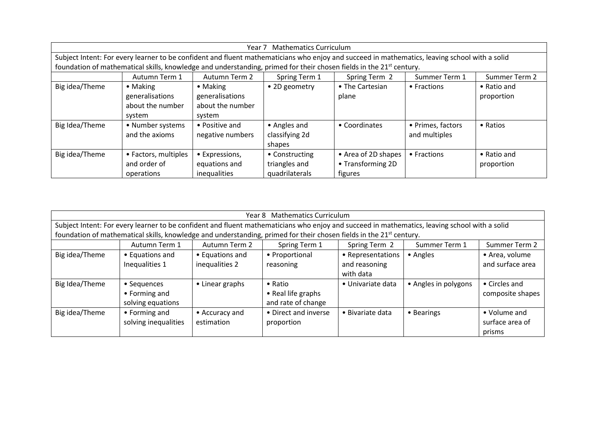| <b>Mathematics Curriculum</b><br>Year 7                                                                                                       |                      |                  |                |                     |                   |               |
|-----------------------------------------------------------------------------------------------------------------------------------------------|----------------------|------------------|----------------|---------------------|-------------------|---------------|
| Subject Intent: For every learner to be confident and fluent mathematicians who enjoy and succeed in mathematics, leaving school with a solid |                      |                  |                |                     |                   |               |
| foundation of mathematical skills, knowledge and understanding, primed for their chosen fields in the 21 <sup>st</sup> century.               |                      |                  |                |                     |                   |               |
|                                                                                                                                               | Autumn Term 1        | Autumn Term 2    | Spring Term 1  | Spring Term 2       | Summer Term 1     | Summer Term 2 |
| Big idea/Theme                                                                                                                                | • Making             | $\bullet$ Making | • 2D geometry  | • The Cartesian     | • Fractions       | • Ratio and   |
|                                                                                                                                               | generalisations      | generalisations  |                | plane               |                   | proportion    |
|                                                                                                                                               | about the number     | about the number |                |                     |                   |               |
|                                                                                                                                               | system               | system           |                |                     |                   |               |
| Big Idea/Theme                                                                                                                                | • Number systems     | • Positive and   | • Angles and   | • Coordinates       | • Primes, factors | • Ratios      |
|                                                                                                                                               | and the axioms       | negative numbers | classifying 2d |                     | and multiples     |               |
|                                                                                                                                               |                      |                  | shapes         |                     |                   |               |
| Big idea/Theme                                                                                                                                | • Factors, multiples | • Expressions,   | • Constructing | • Area of 2D shapes | • Fractions       | • Ratio and   |
|                                                                                                                                               | and order of         | equations and    | triangles and  | • Transforming 2D   |                   | proportion    |
|                                                                                                                                               | operations           | inequalities     | quadrilaterals | figures             |                   |               |

| Year 8 Mathematics Curriculum                                                                                                                 |                      |                 |                      |                   |                      |                  |
|-----------------------------------------------------------------------------------------------------------------------------------------------|----------------------|-----------------|----------------------|-------------------|----------------------|------------------|
| Subject Intent: For every learner to be confident and fluent mathematicians who enjoy and succeed in mathematics, leaving school with a solid |                      |                 |                      |                   |                      |                  |
| foundation of mathematical skills, knowledge and understanding, primed for their chosen fields in the 21 <sup>st</sup> century.               |                      |                 |                      |                   |                      |                  |
|                                                                                                                                               | Autumn Term 1        | Autumn Term 2   | Spring Term 1        | Spring Term 2     | Summer Term 1        | Summer Term 2    |
| Big idea/Theme                                                                                                                                | • Equations and      | • Equations and | • Proportional       | • Representations | • Angles             | • Area, volume   |
|                                                                                                                                               | Inequalities 1       | inequalities 2  | reasoning            | and reasoning     |                      | and surface area |
|                                                                                                                                               |                      |                 |                      | with data         |                      |                  |
| Big Idea/Theme                                                                                                                                | • Sequences          | • Linear graphs | $\bullet$ Ratio      | • Univariate data | • Angles in polygons | • Circles and    |
|                                                                                                                                               | • Forming and        |                 | • Real life graphs   |                   |                      | composite shapes |
|                                                                                                                                               | solving equations    |                 | and rate of change   |                   |                      |                  |
| Big idea/Theme                                                                                                                                | • Forming and        | • Accuracy and  | • Direct and inverse | • Bivariate data  | • Bearings           | • Volume and     |
|                                                                                                                                               | solving inequalities | estimation      | proportion           |                   |                      | surface area of  |
|                                                                                                                                               |                      |                 |                      |                   |                      | prisms           |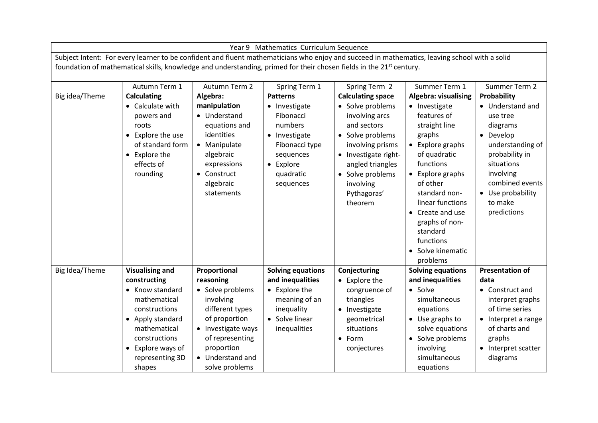|                                                                                                                                                                                                                                                                                  | Year 9 Mathematics Curriculum Sequence                                                                                                                                                                    |                                                                                                                                                                                             |                                                                                                                                                 |                                                                                                                                                                                                                              |                                                                                                                                                                                                                                                                                                       |                                                                                                                                                                                                         |
|----------------------------------------------------------------------------------------------------------------------------------------------------------------------------------------------------------------------------------------------------------------------------------|-----------------------------------------------------------------------------------------------------------------------------------------------------------------------------------------------------------|---------------------------------------------------------------------------------------------------------------------------------------------------------------------------------------------|-------------------------------------------------------------------------------------------------------------------------------------------------|------------------------------------------------------------------------------------------------------------------------------------------------------------------------------------------------------------------------------|-------------------------------------------------------------------------------------------------------------------------------------------------------------------------------------------------------------------------------------------------------------------------------------------------------|---------------------------------------------------------------------------------------------------------------------------------------------------------------------------------------------------------|
| Subject Intent: For every learner to be confident and fluent mathematicians who enjoy and succeed in mathematics, leaving school with a solid<br>foundation of mathematical skills, knowledge and understanding, primed for their chosen fields in the 21 <sup>st</sup> century. |                                                                                                                                                                                                           |                                                                                                                                                                                             |                                                                                                                                                 |                                                                                                                                                                                                                              |                                                                                                                                                                                                                                                                                                       |                                                                                                                                                                                                         |
|                                                                                                                                                                                                                                                                                  | Autumn Term 1                                                                                                                                                                                             | Autumn Term 2                                                                                                                                                                               | Spring Term 1                                                                                                                                   | Spring Term 2                                                                                                                                                                                                                | Summer Term 1                                                                                                                                                                                                                                                                                         | Summer Term 2                                                                                                                                                                                           |
| Big idea/Theme                                                                                                                                                                                                                                                                   | <b>Calculating</b><br>• Calculate with<br>powers and<br>roots<br>• Explore the use<br>of standard form<br>• Explore the<br>effects of<br>rounding                                                         | Algebra:<br>manipulation<br>• Understand<br>equations and<br>identities<br>• Manipulate<br>algebraic<br>expressions<br>Construct<br>$\bullet$<br>algebraic<br>statements                    | <b>Patterns</b><br>• Investigate<br>Fibonacci<br>numbers<br>• Investigate<br>Fibonacci type<br>sequences<br>• Explore<br>quadratic<br>sequences | <b>Calculating space</b><br>• Solve problems<br>involving arcs<br>and sectors<br>• Solve problems<br>involving prisms<br>• Investigate right-<br>angled triangles<br>• Solve problems<br>involving<br>Pythagoras'<br>theorem | Algebra: visualising<br>• Investigate<br>features of<br>straight line<br>graphs<br>• Explore graphs<br>of quadratic<br>functions<br>• Explore graphs<br>of other<br>standard non-<br>linear functions<br>• Create and use<br>graphs of non-<br>standard<br>functions<br>• Solve kinematic<br>problems | Probability<br>• Understand and<br>use tree<br>diagrams<br>• Develop<br>understanding of<br>probability in<br>situations<br>involving<br>combined events<br>• Use probability<br>to make<br>predictions |
| Big Idea/Theme                                                                                                                                                                                                                                                                   | <b>Visualising and</b><br>constructing<br>• Know standard<br>mathematical<br>constructions<br>• Apply standard<br>mathematical<br>constructions<br>$\bullet$ Explore ways of<br>representing 3D<br>shapes | Proportional<br>reasoning<br>• Solve problems<br>involving<br>different types<br>of proportion<br>• Investigate ways<br>of representing<br>proportion<br>• Understand and<br>solve problems | <b>Solving equations</b><br>and inequalities<br>• Explore the<br>meaning of an<br>inequality<br>• Solve linear<br>inequalities                  | Conjecturing<br>• Explore the<br>congruence of<br>triangles<br>• Investigate<br>geometrical<br>situations<br>• Form<br>conjectures                                                                                           | <b>Solving equations</b><br>and inequalities<br>• Solve<br>simultaneous<br>equations<br>• Use graphs to<br>solve equations<br>• Solve problems<br>involving<br>simultaneous<br>equations                                                                                                              | <b>Presentation of</b><br>data<br>• Construct and<br>interpret graphs<br>of time series<br>• Interpret a range<br>of charts and<br>graphs<br>• Interpret scatter<br>diagrams                            |